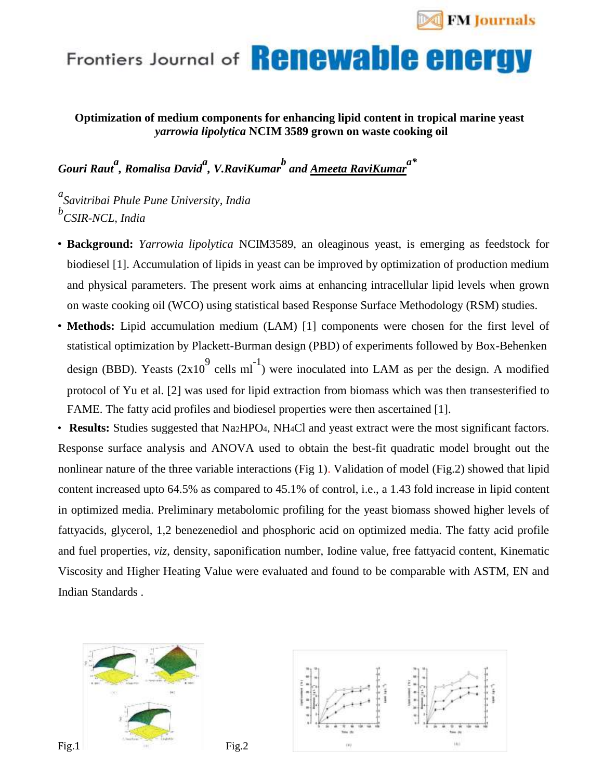

## Frontiers Journal of **Renewable energy**

**Optimization of medium components for enhancing lipid content in tropical marine yeast** *yarrowia lipolytica* **NCIM 3589 grown on waste cooking oil**

*Gouri Raut<sup>a</sup> , Romalisa David<sup>a</sup> , V.RaviKumar<sup>b</sup> and Ameeta RaviKumara\**

*a Savitribai Phule Pune University, India b CSIR-NCL, India*

- **Background:** *Yarrowia lipolytica* NCIM3589, an oleaginous yeast, is emerging as feedstock for biodiesel [1]. Accumulation of lipids in yeast can be improved by optimization of production medium and physical parameters. The present work aims at enhancing intracellular lipid levels when grown on waste cooking oil (WCO) using statistical based Response Surface Methodology (RSM) studies.
- **Methods:** Lipid accumulation medium (LAM) [1] components were chosen for the first level of statistical optimization by Plackett-Burman design (PBD) of experiments followed by Box-Behenken design (BBD). Yeasts  $(2x10^9 \text{ cells ml}^{-1})$  were inoculated into LAM as per the design. A modified protocol of Yu et al. [2] was used for lipid extraction from biomass which was then transesterified to FAME. The fatty acid profiles and biodiesel properties were then ascertained [1].

• **Results:** Studies suggested that Na2HPO4, NH4Cl and yeast extract were the most significant factors. Response surface analysis and ANOVA used to obtain the best-fit quadratic model brought out the nonlinear nature of the three variable interactions (Fig 1). Validation of model (Fig.2) showed that lipid content increased upto 64.5% as compared to 45.1% of control, i.e., a 1.43 fold increase in lipid content in optimized media. Preliminary metabolomic profiling for the yeast biomass showed higher levels of fattyacids, glycerol, 1,2 benezenediol and phosphoric acid on optimized media. The fatty acid profile and fuel properties, *viz*, density, saponification number, Iodine value, free fattyacid content, Kinematic Viscosity and Higher Heating Value were evaluated and found to be comparable with ASTM, EN and Indian Standards .